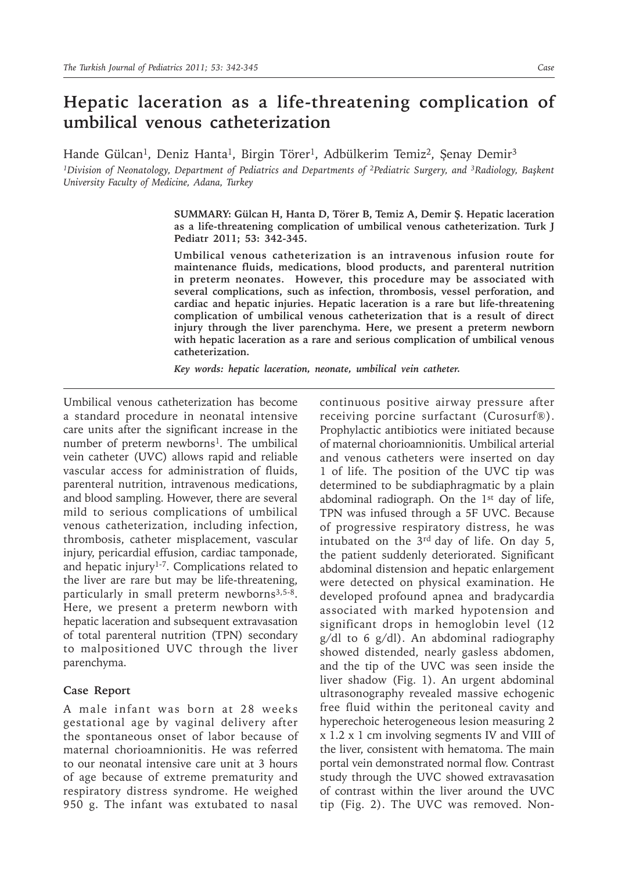## **Hepatic laceration as a life-threatening complication of umbilical venous catheterization**

Hande Gülcan<sup>1</sup>, Deniz Hanta<sup>1</sup>, Birgin Törer<sup>1</sup>, Adbülkerim Temiz<sup>2</sup>, Şenay Demir<sup>3</sup>

*1Division of Neonatology, Department of Pediatrics and Departments of 2Pediatric Surgery, and 3Radiology, Başkent University Faculty of Medicine, Adana, Turkey*

> **SUMMARY: Gülcan H, Hanta D, Törer B, Temiz A, Demir Ş. Hepatic laceration as a life-threatening complication of umbilical venous catheterization. Turk J Pediatr 2011; 53: 342-345.**

> **Umbilical venous catheterization is an intravenous infusion route for maintenance fluids, medications, blood products, and parenteral nutrition in preterm neonates. However, this procedure may be associated with several complications, such as infection, thrombosis, vessel perforation, and cardiac and hepatic injuries. Hepatic laceration is a rare but life-threatening complication of umbilical venous catheterization that is a result of direct injury through the liver parenchyma. Here, we present a preterm newborn with hepatic laceration as a rare and serious complication of umbilical venous catheterization.**

*Key words: hepatic laceration, neonate, umbilical vein catheter.*

Umbilical venous catheterization has become a standard procedure in neonatal intensive care units after the significant increase in the number of preterm newborns<sup>1</sup>. The umbilical vein catheter (UVC) allows rapid and reliable vascular access for administration of fluids, parenteral nutrition, intravenous medications, and blood sampling. However, there are several mild to serious complications of umbilical venous catheterization, including infection, thrombosis, catheter misplacement, vascular injury, pericardial effusion, cardiac tamponade, and hepatic injury1-7. Complications related to the liver are rare but may be life-threatening, particularly in small preterm newborns<sup>3,5-8</sup>. Here, we present a preterm newborn with hepatic laceration and subsequent extravasation of total parenteral nutrition (TPN) secondary to malpositioned UVC through the liver parenchyma.

## **Case Report**

A male infant was born at 28 weeks gestational age by vaginal delivery after the spontaneous onset of labor because of maternal chorioamnionitis. He was referred to our neonatal intensive care unit at 3 hours of age because of extreme prematurity and respiratory distress syndrome. He weighed 950 g. The infant was extubated to nasal

continuous positive airway pressure after receiving porcine surfactant (Curosurf®). Prophylactic antibiotics were initiated because of maternal chorioamnionitis. Umbilical arterial and venous catheters were inserted on day 1 of life. The position of the UVC tip was determined to be subdiaphragmatic by a plain abdominal radiograph. On the  $1<sup>st</sup>$  day of life, TPN was infused through a 5F UVC. Because of progressive respiratory distress, he was intubated on the 3rd day of life. On day 5, the patient suddenly deteriorated. Significant abdominal distension and hepatic enlargement were detected on physical examination. He developed profound apnea and bradycardia associated with marked hypotension and significant drops in hemoglobin level (12 g/dl to 6 g/dl). An abdominal radiography showed distended, nearly gasless abdomen, and the tip of the UVC was seen inside the liver shadow (Fig. 1). An urgent abdominal ultrasonography revealed massive echogenic free fluid within the peritoneal cavity and hyperechoic heterogeneous lesion measuring 2 x 1.2 x 1 cm involving segments IV and VIII of the liver, consistent with hematoma. The main portal vein demonstrated normal flow. Contrast study through the UVC showed extravasation of contrast within the liver around the UVC tip (Fig. 2). The UVC was removed. Non-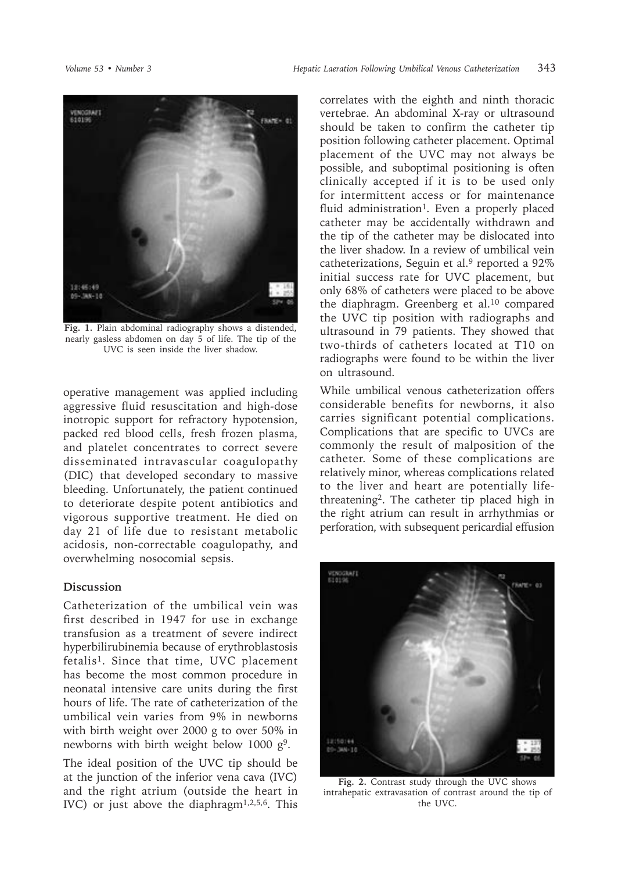

**Fig. 1.** Plain abdominal radiography shows a distended, nearly gasless abdomen on day 5 of life. The tip of the UVC is seen inside the liver shadow.

operative management was applied including aggressive fluid resuscitation and high-dose inotropic support for refractory hypotension, packed red blood cells, fresh frozen plasma, and platelet concentrates to correct severe disseminated intravascular coagulopathy (DIC) that developed secondary to massive bleeding. Unfortunately, the patient continued to deteriorate despite potent antibiotics and vigorous supportive treatment. He died on day 21 of life due to resistant metabolic acidosis, non-correctable coagulopathy, and overwhelming nosocomial sepsis.

## **Discussion**

Catheterization of the umbilical vein was first described in 1947 for use in exchange transfusion as a treatment of severe indirect hyperbilirubinemia because of erythroblastosis fetalis<sup>1</sup>. Since that time, UVC placement has become the most common procedure in neonatal intensive care units during the first hours of life. The rate of catheterization of the umbilical vein varies from 9% in newborns with birth weight over 2000 g to over 50% in newborns with birth weight below 1000  $g<sup>9</sup>$ .

The ideal position of the UVC tip should be at the junction of the inferior vena cava (IVC) and the right atrium (outside the heart in IVC) or just above the diaphragm<sup>1,2,5,6</sup>. This

correlates with the eighth and ninth thoracic vertebrae. An abdominal X-ray or ultrasound should be taken to confirm the catheter tip position following catheter placement. Optimal placement of the UVC may not always be possible, and suboptimal positioning is often clinically accepted if it is to be used only for intermittent access or for maintenance fluid administration<sup>1</sup>. Even a properly placed catheter may be accidentally withdrawn and the tip of the catheter may be dislocated into the liver shadow. In a review of umbilical vein catheterizations, Seguin et al.9 reported a 92% initial success rate for UVC placement, but only 68% of catheters were placed to be above the diaphragm. Greenberg et al.10 compared the UVC tip position with radiographs and ultrasound in 79 patients. They showed that two-thirds of catheters located at T10 on radiographs were found to be within the liver on ultrasound.

While umbilical venous catheterization offers considerable benefits for newborns, it also carries significant potential complications. Complications that are specific to UVCs are commonly the result of malposition of the catheter. Some of these complications are relatively minor, whereas complications related to the liver and heart are potentially lifethreatening<sup>2</sup>. The catheter tip placed high in the right atrium can result in arrhythmias or perforation, with subsequent pericardial effusion



**Fig. 2.** Contrast study through the UVC shows intrahepatic extravasation of contrast around the tip of the UVC.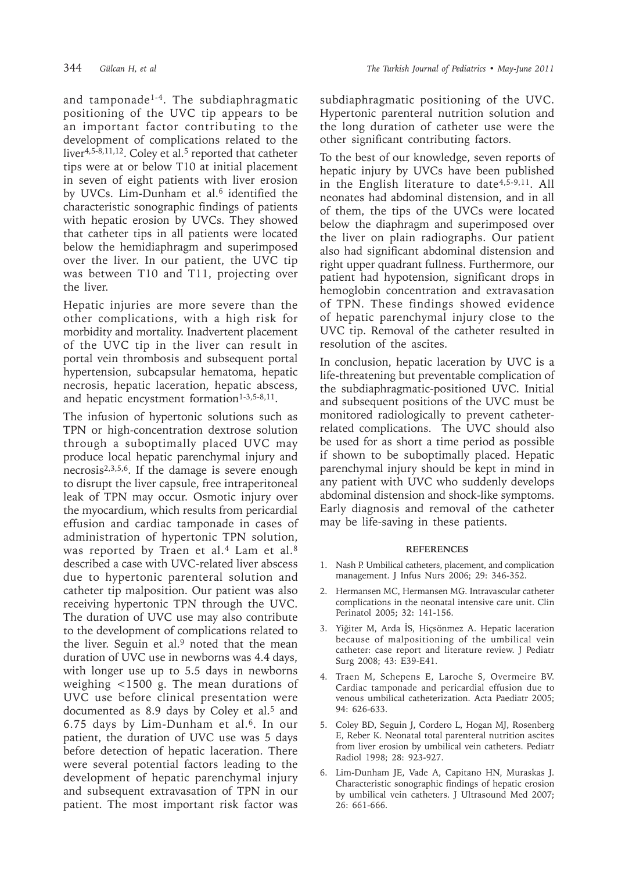and tamponade<sup>1-4</sup>. The subdiaphragmatic positioning of the UVC tip appears to be an important factor contributing to the development of complications related to the liver<sup>4,5-8,11,12</sup>. Coley et al.<sup>5</sup> reported that catheter tips were at or below T10 at initial placement in seven of eight patients with liver erosion by UVCs. Lim-Dunham et al.<sup>6</sup> identified the characteristic sonographic findings of patients with hepatic erosion by UVCs. They showed that catheter tips in all patients were located below the hemidiaphragm and superimposed over the liver. In our patient, the UVC tip was between T10 and T11, projecting over the liver.

Hepatic injuries are more severe than the other complications, with a high risk for morbidity and mortality. Inadvertent placement of the UVC tip in the liver can result in portal vein thrombosis and subsequent portal hypertension, subcapsular hematoma, hepatic necrosis, hepatic laceration, hepatic abscess, and hepatic encystment formation $1-3,5-8,11$ .

The infusion of hypertonic solutions such as TPN or high-concentration dextrose solution through a suboptimally placed UVC may produce local hepatic parenchymal injury and necrosis2,3,5,6. If the damage is severe enough to disrupt the liver capsule, free intraperitoneal leak of TPN may occur. Osmotic injury over the myocardium, which results from pericardial effusion and cardiac tamponade in cases of administration of hypertonic TPN solution, was reported by Traen et al.<sup>4</sup> Lam et al.<sup>8</sup> described a case with UVC-related liver abscess due to hypertonic parenteral solution and catheter tip malposition. Our patient was also receiving hypertonic TPN through the UVC. The duration of UVC use may also contribute to the development of complications related to the liver. Seguin et al. $9$  noted that the mean duration of UVC use in newborns was 4.4 days, with longer use up to 5.5 days in newborns weighing <1500 g. The mean durations of UVC use before clinical presentation were documented as 8.9 days by Coley et al.<sup>5</sup> and 6.75 days by Lim-Dunham et al.6. In our patient, the duration of UVC use was 5 days before detection of hepatic laceration. There were several potential factors leading to the development of hepatic parenchymal injury and subsequent extravasation of TPN in our patient. The most important risk factor was

subdiaphragmatic positioning of the UVC. Hypertonic parenteral nutrition solution and the long duration of catheter use were the other significant contributing factors.

To the best of our knowledge, seven reports of hepatic injury by UVCs have been published in the English literature to date<sup>4,5-9,11</sup>. All neonates had abdominal distension, and in all of them, the tips of the UVCs were located below the diaphragm and superimposed over the liver on plain radiographs. Our patient also had significant abdominal distension and right upper quadrant fullness. Furthermore, our patient had hypotension, significant drops in hemoglobin concentration and extravasation of TPN. These findings showed evidence of hepatic parenchymal injury close to the UVC tip. Removal of the catheter resulted in resolution of the ascites.

In conclusion, hepatic laceration by UVC is a life-threatening but preventable complication of the subdiaphragmatic-positioned UVC. Initial and subsequent positions of the UVC must be monitored radiologically to prevent catheterrelated complications. The UVC should also be used for as short a time period as possible if shown to be suboptimally placed. Hepatic parenchymal injury should be kept in mind in any patient with UVC who suddenly develops abdominal distension and shock-like symptoms. Early diagnosis and removal of the catheter may be life-saving in these patients.

## **REFERENCES**

- 1. Nash P. Umbilical catheters, placement, and complication management. J Infus Nurs 2006; 29: 346-352.
- 2. Hermansen MC, Hermansen MG. Intravascular catheter complications in the neonatal intensive care unit. Clin Perinatol 2005; 32: 141-156.
- 3. Yiğiter M, Arda İS, Hiçsönmez A. Hepatic laceration because of malpositioning of the umbilical vein catheter: case report and literature review. J Pediatr Surg 2008; 43: E39-E41.
- 4. Traen M, Schepens E, Laroche S, Overmeire BV. Cardiac tamponade and pericardial effusion due to venous umbilical catheterization. Acta Paediatr 2005; 94: 626-633.
- 5. Coley BD, Seguin J, Cordero L, Hogan MJ, Rosenberg E, Reber K. Neonatal total parenteral nutrition ascites from liver erosion by umbilical vein catheters. Pediatr Radiol 1998; 28: 923-927.
- 6. Lim-Dunham JE, Vade A, Capitano HN, Muraskas J. Characteristic sonographic findings of hepatic erosion by umbilical vein catheters. J Ultrasound Med 2007; 26: 661-666.